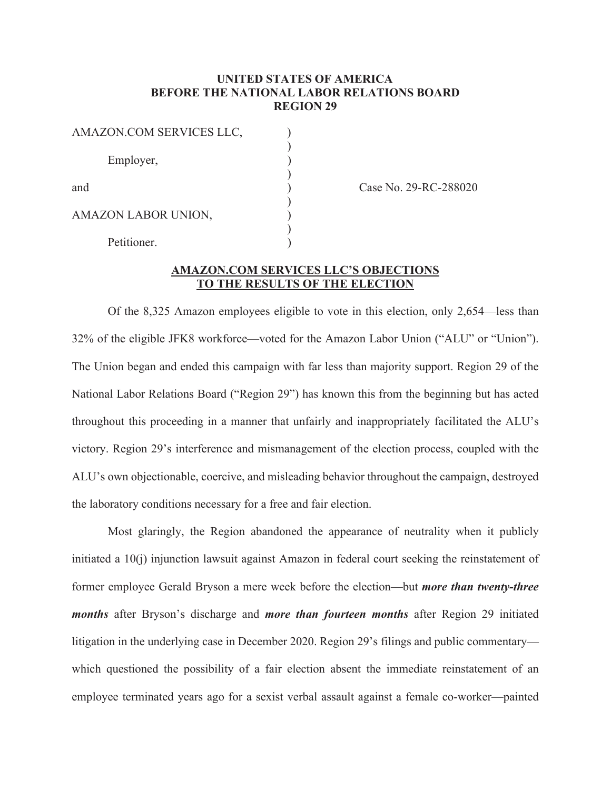## **UNITED STATES OF AMERICA BEFORE THE NATIONAL LABOR RELATIONS BOARD REGION 29**

| AMAZON.COM SERVICES LLC, |  |
|--------------------------|--|
| Employer,                |  |
| and                      |  |
| AMAZON LABOR UNION,      |  |
| Petitioner.              |  |

Case No. 29-RC-288020

## **AMAZON.COM SERVICES LLC'S OBJECTIONS TO THE RESULTS OF THE ELECTION**

Of the 8,325 Amazon employees eligible to vote in this election, only 2,654—less than 32% of the eligible JFK8 workforce—voted for the Amazon Labor Union ("ALU" or "Union"). The Union began and ended this campaign with far less than majority support. Region 29 of the National Labor Relations Board ("Region 29") has known this from the beginning but has acted throughout this proceeding in a manner that unfairly and inappropriately facilitated the ALU's victory. Region 29's interference and mismanagement of the election process, coupled with the ALU's own objectionable, coercive, and misleading behavior throughout the campaign, destroyed the laboratory conditions necessary for a free and fair election.

 Most glaringly, the Region abandoned the appearance of neutrality when it publicly initiated a 10(j) injunction lawsuit against Amazon in federal court seeking the reinstatement of former employee Gerald Bryson a mere week before the election—but *more than twenty-three months* after Bryson's discharge and *more than fourteen months* after Region 29 initiated litigation in the underlying case in December 2020. Region 29's filings and public commentary which questioned the possibility of a fair election absent the immediate reinstatement of an employee terminated years ago for a sexist verbal assault against a female co-worker—painted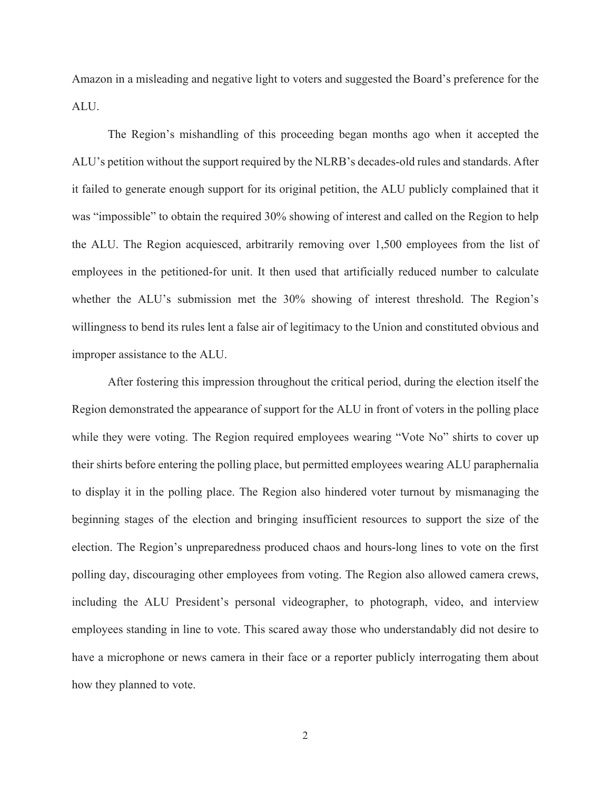Amazon in a misleading and negative light to voters and suggested the Board's preference for the ALU.

 The Region's mishandling of this proceeding began months ago when it accepted the ALU's petition without the support required by the NLRB's decades-old rules and standards. After it failed to generate enough support for its original petition, the ALU publicly complained that it was "impossible" to obtain the required 30% showing of interest and called on the Region to help the ALU. The Region acquiesced, arbitrarily removing over 1,500 employees from the list of employees in the petitioned-for unit. It then used that artificially reduced number to calculate whether the ALU's submission met the 30% showing of interest threshold. The Region's willingness to bend its rules lent a false air of legitimacy to the Union and constituted obvious and improper assistance to the ALU.

 After fostering this impression throughout the critical period, during the election itself the Region demonstrated the appearance of support for the ALU in front of voters in the polling place while they were voting. The Region required employees wearing "Vote No" shirts to cover up their shirts before entering the polling place, but permitted employees wearing ALU paraphernalia to display it in the polling place. The Region also hindered voter turnout by mismanaging the beginning stages of the election and bringing insufficient resources to support the size of the election. The Region's unpreparedness produced chaos and hours-long lines to vote on the first polling day, discouraging other employees from voting. The Region also allowed camera crews, including the ALU President's personal videographer, to photograph, video, and interview employees standing in line to vote. This scared away those who understandably did not desire to have a microphone or news camera in their face or a reporter publicly interrogating them about how they planned to vote.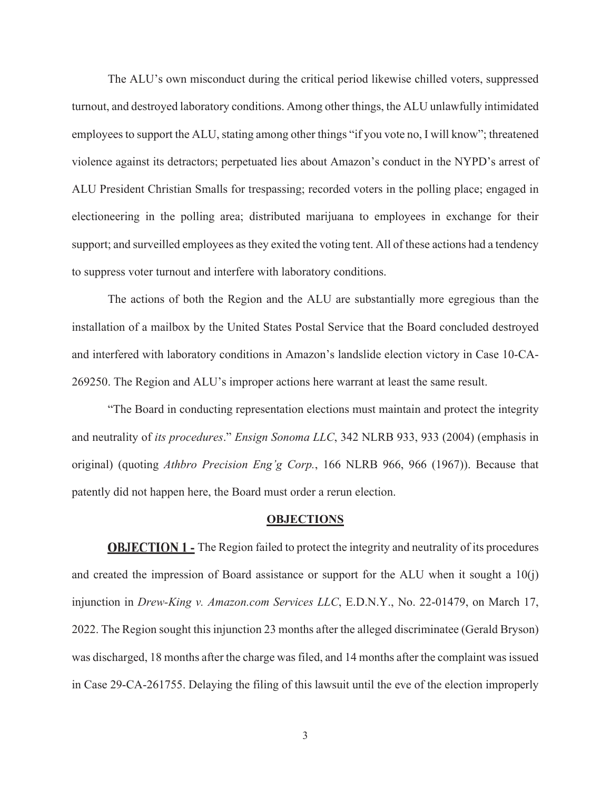The ALU's own misconduct during the critical period likewise chilled voters, suppressed turnout, and destroyed laboratory conditions. Among other things, the ALU unlawfully intimidated employees to support the ALU, stating among other things "if you vote no, I will know"; threatened violence against its detractors; perpetuated lies about Amazon's conduct in the NYPD's arrest of ALU President Christian Smalls for trespassing; recorded voters in the polling place; engaged in electioneering in the polling area; distributed marijuana to employees in exchange for their support; and surveilled employees as they exited the voting tent. All of these actions had a tendency to suppress voter turnout and interfere with laboratory conditions.

The actions of both the Region and the ALU are substantially more egregious than the installation of a mailbox by the United States Postal Service that the Board concluded destroyed and interfered with laboratory conditions in Amazon's landslide election victory in Case 10-CA-269250. The Region and ALU's improper actions here warrant at least the same result.

"The Board in conducting representation elections must maintain and protect the integrity and neutrality of *its procedures*." *Ensign Sonoma LLC*, 342 NLRB 933, 933 (2004) (emphasis in original) (quoting *Athbro Precision Eng'g Corp.*, 166 NLRB 966, 966 (1967)). Because that patently did not happen here, the Board must order a rerun election.

#### **OBJECTIONS**

**OBJECTION 1** - The Region failed to protect the integrity and neutrality of its procedures and created the impression of Board assistance or support for the ALU when it sought a  $10(i)$ injunction in *Drew-King v. Amazon.com Services LLC*, E.D.N.Y., No. 22-01479, on March 17, 2022. The Region sought this injunction 23 months after the alleged discriminatee (Gerald Bryson) was discharged, 18 months after the charge was filed, and 14 months after the complaint was issued in Case 29-CA-261755. Delaying the filing of this lawsuit until the eve of the election improperly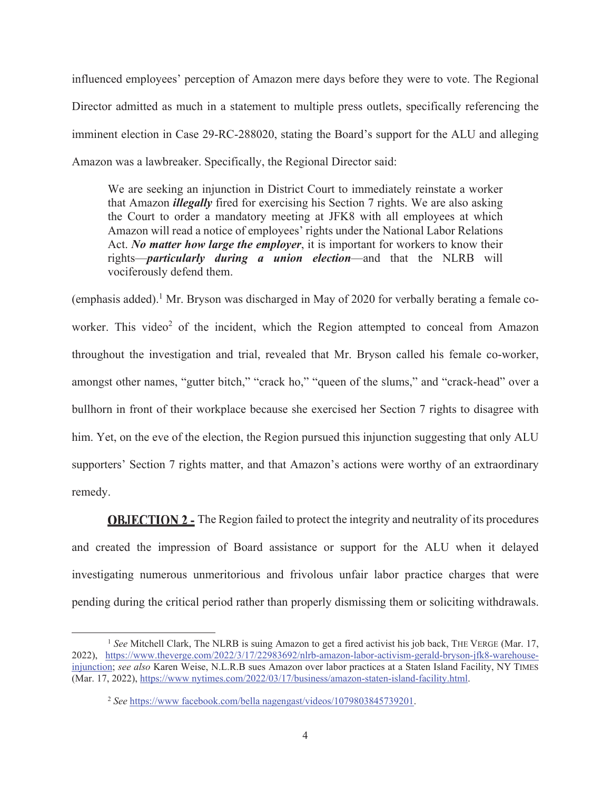influenced employees' perception of Amazon mere days before they were to vote. The Regional Director admitted as much in a statement to multiple press outlets, specifically referencing the imminent election in Case 29-RC-288020, stating the Board's support for the ALU and alleging Amazon was a lawbreaker. Specifically, the Regional Director said:

We are seeking an injunction in District Court to immediately reinstate a worker that Amazon *illegally* fired for exercising his Section 7 rights. We are also asking the Court to order a mandatory meeting at JFK8 with all employees at which Amazon will read a notice of employees' rights under the National Labor Relations Act. *No matter how large the employer*, it is important for workers to know their rights—*particularly during a union election*—and that the NLRB will vociferously defend them.

(emphasis added).<sup>1</sup> Mr. Bryson was discharged in May of 2020 for verbally berating a female coworker. This video<sup>2</sup> of the incident, which the Region attempted to conceal from Amazon throughout the investigation and trial, revealed that Mr. Bryson called his female co-worker, amongst other names, "gutter bitch," "crack ho," "queen of the slums," and "crack-head" over a bullhorn in front of their workplace because she exercised her Section 7 rights to disagree with him. Yet, on the eve of the election, the Region pursued this injunction suggesting that only ALU supporters' Section 7 rights matter, and that Amazon's actions were worthy of an extraordinary remedy.

**OBJECTION 2 -** The Region failed to protect the integrity and neutrality of its procedures and created the impression of Board assistance or support for the ALU when it delayed investigating numerous unmeritorious and frivolous unfair labor practice charges that were pending during the critical period rather than properly dismissing them or soliciting withdrawals.

<sup>&</sup>lt;sup>1</sup> See Mitchell Clark, The NLRB is suing Amazon to get a fired activist his job back, THE VERGE (Mar. 17, 2022), https://www.theverge.com/2022/3/17/22983692/nlrb-amazon-labor-activism-gerald-bryson-jfk8-warehouseinjunction; *see also* Karen Weise, N.L.R.B sues Amazon over labor practices at a Staten Island Facility, NY TIMES (Mar. 17, 2022), https://www nytimes.com/2022/03/17/business/amazon-staten-island-facility.html.

<sup>&</sup>lt;sup>2</sup> See https://www facebook.com/bella nagengast/videos/1079803845739201.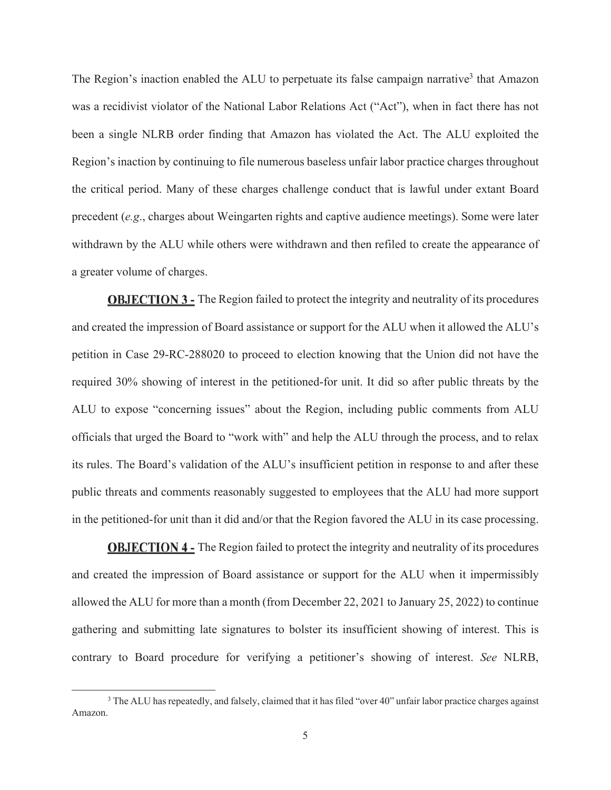The Region's inaction enabled the ALU to perpetuate its false campaign narrative<sup>3</sup> that Amazon was a recidivist violator of the National Labor Relations Act ("Act"), when in fact there has not been a single NLRB order finding that Amazon has violated the Act. The ALU exploited the Region's inaction by continuing to file numerous baseless unfair labor practice charges throughout the critical period. Many of these charges challenge conduct that is lawful under extant Board precedent (*e.g*., charges about Weingarten rights and captive audience meetings). Some were later withdrawn by the ALU while others were withdrawn and then refiled to create the appearance of a greater volume of charges.

**OBJECTION 3 - The Region failed to protect the integrity and neutrality of its procedures** and created the impression of Board assistance or support for the ALU when it allowed the ALU's petition in Case 29-RC-288020 to proceed to election knowing that the Union did not have the required 30% showing of interest in the petitioned-for unit. It did so after public threats by the ALU to expose "concerning issues" about the Region, including public comments from ALU officials that urged the Board to "work with" and help the ALU through the process, and to relax its rules. The Board's validation of the ALU's insufficient petition in response to and after these public threats and comments reasonably suggested to employees that the ALU had more support in the petitioned-for unit than it did and/or that the Region favored the ALU in its case processing.

**OBJECTION 4** - The Region failed to protect the integrity and neutrality of its procedures and created the impression of Board assistance or support for the ALU when it impermissibly allowed the ALU for more than a month (from December 22, 2021 to January 25, 2022) to continue gathering and submitting late signatures to bolster its insufficient showing of interest. This is contrary to Board procedure for verifying a petitioner's showing of interest. *See* NLRB,

<sup>&</sup>lt;sup>3</sup> The ALU has repeatedly, and falsely, claimed that it has filed "over 40" unfair labor practice charges against Amazon.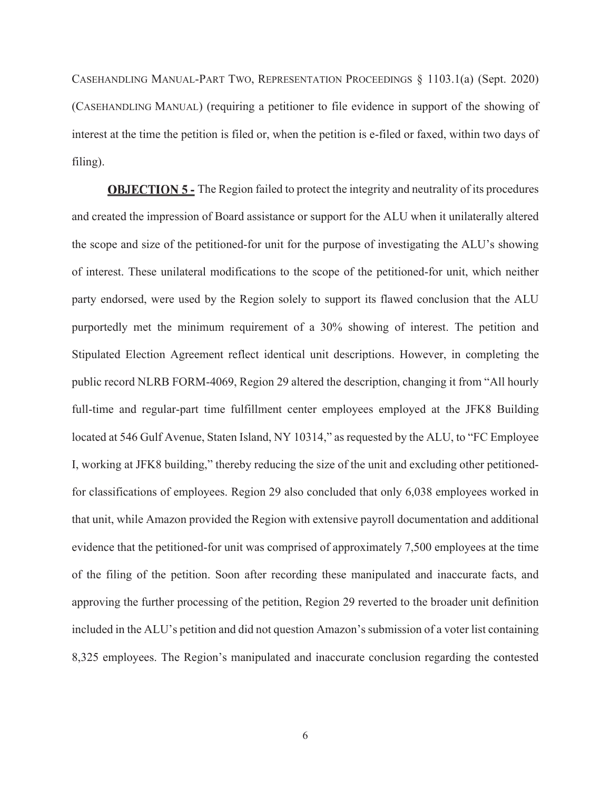CASEHANDLING MANUAL-PART TWO, REPRESENTATION PROCEEDINGS § 1103.1(a) (Sept. 2020) (CASEHANDLING MANUAL) (requiring a petitioner to file evidence in support of the showing of interest at the time the petition is filed or, when the petition is e-filed or faxed, within two days of filing).

**OBJECTION 5 -** The Region failed to protect the integrity and neutrality of its procedures and created the impression of Board assistance or support for the ALU when it unilaterally altered the scope and size of the petitioned-for unit for the purpose of investigating the ALU's showing of interest. These unilateral modifications to the scope of the petitioned-for unit, which neither party endorsed, were used by the Region solely to support its flawed conclusion that the ALU purportedly met the minimum requirement of a 30% showing of interest. The petition and Stipulated Election Agreement reflect identical unit descriptions. However, in completing the public record NLRB FORM-4069, Region 29 altered the description, changing it from "All hourly full-time and regular-part time fulfillment center employees employed at the JFK8 Building located at 546 Gulf Avenue, Staten Island, NY 10314," as requested by the ALU, to "FC Employee I, working at JFK8 building," thereby reducing the size of the unit and excluding other petitionedfor classifications of employees. Region 29 also concluded that only 6,038 employees worked in that unit, while Amazon provided the Region with extensive payroll documentation and additional evidence that the petitioned-for unit was comprised of approximately 7,500 employees at the time of the filing of the petition. Soon after recording these manipulated and inaccurate facts, and approving the further processing of the petition, Region 29 reverted to the broader unit definition included in the ALU's petition and did not question Amazon's submission of a voter list containing 8,325 employees. The Region's manipulated and inaccurate conclusion regarding the contested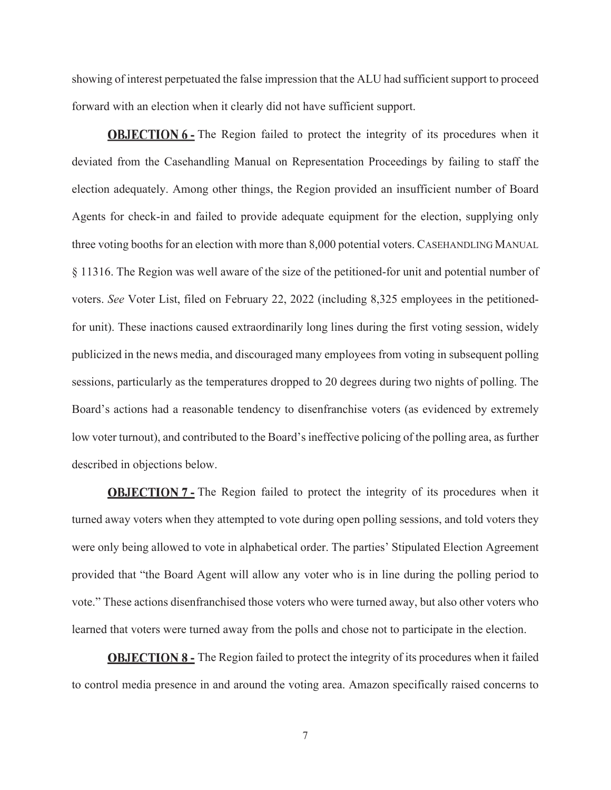showing of interest perpetuated the false impression that the ALU had sufficient support to proceed forward with an election when it clearly did not have sufficient support.

**OBJECTION 6** - The Region failed to protect the integrity of its procedures when it deviated from the Casehandling Manual on Representation Proceedings by failing to staff the election adequately. Among other things, the Region provided an insufficient number of Board Agents for check-in and failed to provide adequate equipment for the election, supplying only three voting booths for an election with more than 8,000 potential voters. CASEHANDLING MANUAL § 11316. The Region was well aware of the size of the petitioned-for unit and potential number of voters. *See* Voter List, filed on February 22, 2022 (including 8,325 employees in the petitionedfor unit). These inactions caused extraordinarily long lines during the first voting session, widely publicized in the news media, and discouraged many employees from voting in subsequent polling sessions, particularly as the temperatures dropped to 20 degrees during two nights of polling. The Board's actions had a reasonable tendency to disenfranchise voters (as evidenced by extremely low voter turnout), and contributed to the Board's ineffective policing of the polling area, as further described in objections below.

**OBJECTION 7** - The Region failed to protect the integrity of its procedures when it turned away voters when they attempted to vote during open polling sessions, and told voters they were only being allowed to vote in alphabetical order. The parties' Stipulated Election Agreement provided that "the Board Agent will allow any voter who is in line during the polling period to vote." These actions disenfranchised those voters who were turned away, but also other voters who learned that voters were turned away from the polls and chose not to participate in the election.

**OBJECTION 8 -** The Region failed to protect the integrity of its procedures when it failed to control media presence in and around the voting area. Amazon specifically raised concerns to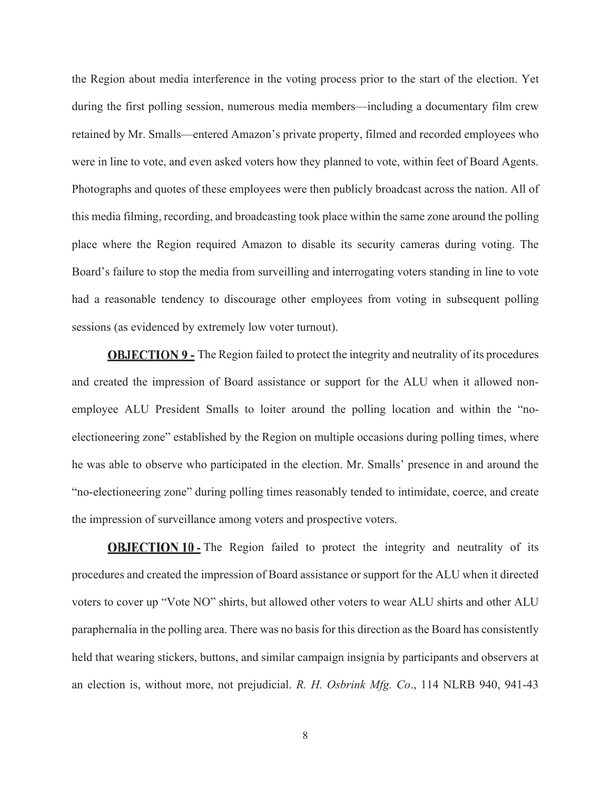the Region about media interference in the voting process prior to the start of the election. Yet during the first polling session, numerous media members—including a documentary film crew retained by Mr. Smalls—entered Amazon's private property, filmed and recorded employees who were in line to vote, and even asked voters how they planned to vote, within feet of Board Agents. Photographs and quotes of these employees were then publicly broadcast across the nation. All of this media filming, recording, and broadcasting took place within the same zone around the polling place where the Region required Amazon to disable its security cameras during voting. The Board's failure to stop the media from surveilling and interrogating voters standing in line to vote had a reasonable tendency to discourage other employees from voting in subsequent polling sessions (as evidenced by extremely low voter turnout).

**OBJECTION 9 -** The Region failed to protect the integrity and neutrality of its procedures and created the impression of Board assistance or support for the ALU when it allowed nonemployee ALU President Smalls to loiter around the polling location and within the "noelectioneering zone" established by the Region on multiple occasions during polling times, where he was able to observe who participated in the election. Mr. Smalls' presence in and around the "no-electioneering zone" during polling times reasonably tended to intimidate, coerce, and create the impression of surveillance among voters and prospective voters.

**OBJECTION 10 - The Region failed to protect the integrity and neutrality of its** procedures and created the impression of Board assistance or support for the ALU when it directed voters to cover up "Vote NO" shirts, but allowed other voters to wear ALU shirts and other ALU paraphernalia in the polling area. There was no basis for this direction as the Board has consistently held that wearing stickers, buttons, and similar campaign insignia by participants and observers at an election is, without more, not prejudicial. *R. H. Osbrink Mfg. Co*., 114 NLRB 940, 941-43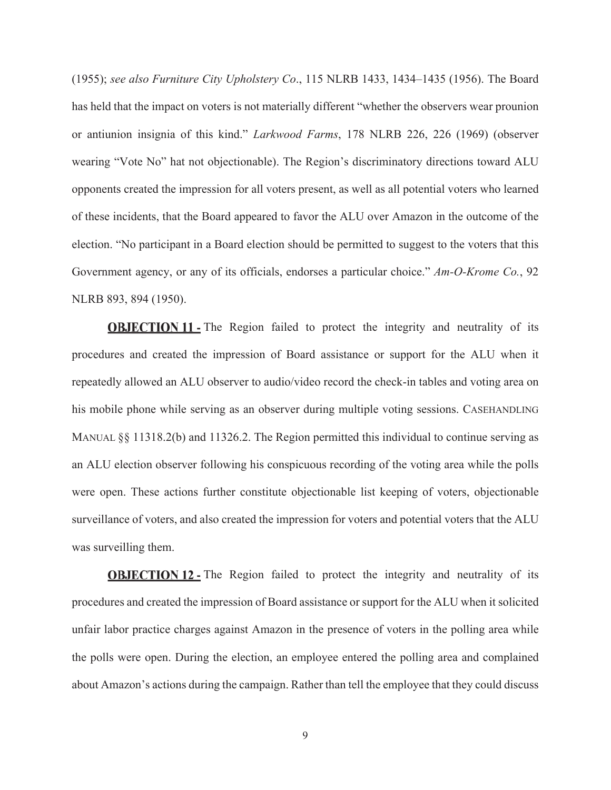(1955); *see also Furniture City Upholstery Co*., 115 NLRB 1433, 1434–1435 (1956). The Board has held that the impact on voters is not materially different "whether the observers wear prounion or antiunion insignia of this kind." *Larkwood Farms*, 178 NLRB 226, 226 (1969) (observer wearing "Vote No" hat not objectionable). The Region's discriminatory directions toward ALU opponents created the impression for all voters present, as well as all potential voters who learned of these incidents, that the Board appeared to favor the ALU over Amazon in the outcome of the election. "No participant in a Board election should be permitted to suggest to the voters that this Government agency, or any of its officials, endorses a particular choice." *Am-O-Krome Co.*, 92 NLRB 893, 894 (1950).

**OBJECTION 11 - The Region failed to protect the integrity and neutrality of its** procedures and created the impression of Board assistance or support for the ALU when it repeatedly allowed an ALU observer to audio/video record the check-in tables and voting area on his mobile phone while serving as an observer during multiple voting sessions. CASEHANDLING MANUAL  $\S$ § 11318.2(b) and 11326.2. The Region permitted this individual to continue serving as an ALU election observer following his conspicuous recording of the voting area while the polls were open. These actions further constitute objectionable list keeping of voters, objectionable surveillance of voters, and also created the impression for voters and potential voters that the ALU was surveilling them.

**OBJECTION 12 - The Region failed to protect the integrity and neutrality of its** procedures and created the impression of Board assistance or support for the ALU when it solicited unfair labor practice charges against Amazon in the presence of voters in the polling area while the polls were open. During the election, an employee entered the polling area and complained about Amazon's actions during the campaign. Rather than tell the employee that they could discuss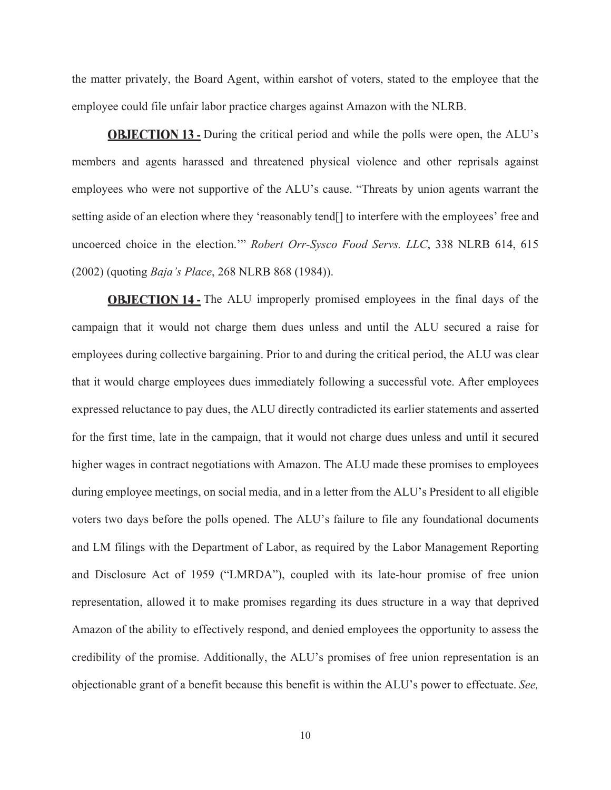the matter privately, the Board Agent, within earshot of voters, stated to the employee that the employee could file unfair labor practice charges against Amazon with the NLRB.

**OBJECTION 13** - During the critical period and while the polls were open, the ALU's members and agents harassed and threatened physical violence and other reprisals against employees who were not supportive of the ALU's cause. "Threats by union agents warrant the setting aside of an election where they 'reasonably tend[] to interfere with the employees' free and uncoerced choice in the election.'" *Robert Orr-Sysco Food Servs. LLC*, 338 NLRB 614, 615 (2002) (quoting *Baja's Place*, 268 NLRB 868 (1984)).

**OBJECTION 14 - The ALU improperly promised employees in the final days of the** campaign that it would not charge them dues unless and until the ALU secured a raise for employees during collective bargaining. Prior to and during the critical period, the ALU was clear that it would charge employees dues immediately following a successful vote. After employees expressed reluctance to pay dues, the ALU directly contradicted its earlier statements and asserted for the first time, late in the campaign, that it would not charge dues unless and until it secured higher wages in contract negotiations with Amazon. The ALU made these promises to employees during employee meetings, on social media, and in a letter from the ALU's President to all eligible voters two days before the polls opened. The ALU's failure to file any foundational documents and LM filings with the Department of Labor, as required by the Labor Management Reporting and Disclosure Act of 1959 ("LMRDA"), coupled with its late-hour promise of free union representation, allowed it to make promises regarding its dues structure in a way that deprived Amazon of the ability to effectively respond, and denied employees the opportunity to assess the credibility of the promise. Additionally, the ALU's promises of free union representation is an objectionable grant of a benefit because this benefit is within the ALU's power to effectuate. *See,*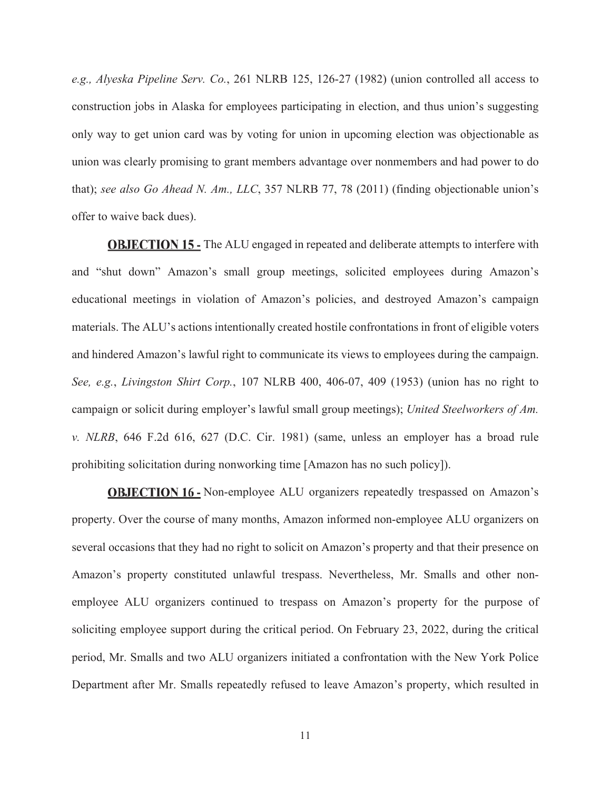*e.g., Alyeska Pipeline Serv. Co.*, 261 NLRB 125, 126-27 (1982) (union controlled all access to construction jobs in Alaska for employees participating in election, and thus union's suggesting only way to get union card was by voting for union in upcoming election was objectionable as union was clearly promising to grant members advantage over nonmembers and had power to do that); *see also Go Ahead N. Am., LLC*, 357 NLRB 77, 78 (2011) (finding objectionable union's offer to waive back dues).

**OBJECTION 15 - The ALU engaged in repeated and deliberate attempts to interfere with** and "shut down" Amazon's small group meetings, solicited employees during Amazon's educational meetings in violation of Amazon's policies, and destroyed Amazon's campaign materials. The ALU's actions intentionally created hostile confrontations in front of eligible voters and hindered Amazon's lawful right to communicate its views to employees during the campaign. *See, e.g.*, *Livingston Shirt Corp.*, 107 NLRB 400, 406-07, 409 (1953) (union has no right to campaign or solicit during employer's lawful small group meetings); *United Steelworkers of Am. v. NLRB*, 646 F.2d 616, 627 (D.C. Cir. 1981) (same, unless an employer has a broad rule prohibiting solicitation during nonworking time [Amazon has no such policy]).

**OBJECTION 16 -** Non-employee ALU organizers repeatedly trespassed on Amazon's property. Over the course of many months, Amazon informed non-employee ALU organizers on several occasions that they had no right to solicit on Amazon's property and that their presence on Amazon's property constituted unlawful trespass. Nevertheless, Mr. Smalls and other nonemployee ALU organizers continued to trespass on Amazon's property for the purpose of soliciting employee support during the critical period. On February 23, 2022, during the critical period, Mr. Smalls and two ALU organizers initiated a confrontation with the New York Police Department after Mr. Smalls repeatedly refused to leave Amazon's property, which resulted in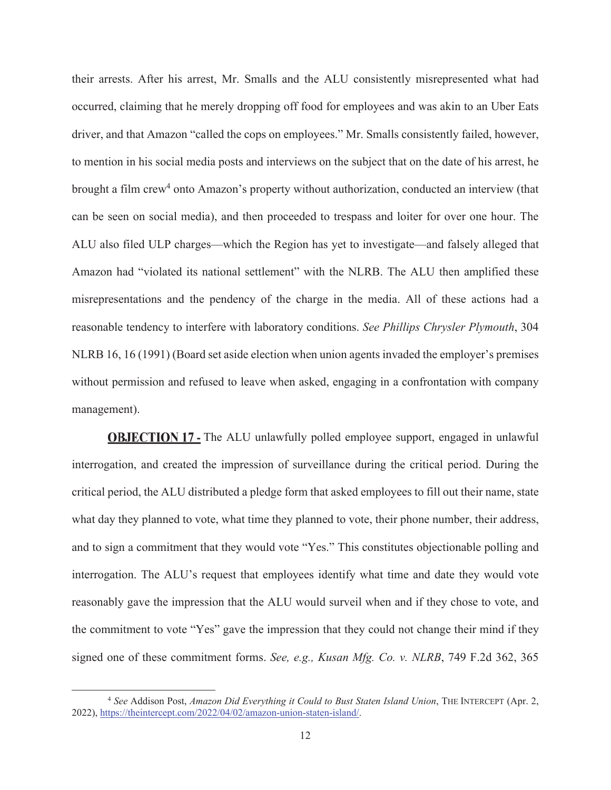their arrests. After his arrest, Mr. Smalls and the ALU consistently misrepresented what had occurred, claiming that he merely dropping off food for employees and was akin to an Uber Eats driver, and that Amazon "called the cops on employees." Mr. Smalls consistently failed, however, to mention in his social media posts and interviews on the subject that on the date of his arrest, he brought a film crew<sup>4</sup> onto Amazon's property without authorization, conducted an interview (that can be seen on social media), and then proceeded to trespass and loiter for over one hour. The ALU also filed ULP charges—which the Region has yet to investigate—and falsely alleged that Amazon had "violated its national settlement" with the NLRB. The ALU then amplified these misrepresentations and the pendency of the charge in the media. All of these actions had a reasonable tendency to interfere with laboratory conditions. *See Phillips Chrysler Plymouth*, 304 NLRB 16, 16 (1991) (Board set aside election when union agents invaded the employer's premises without permission and refused to leave when asked, engaging in a confrontation with company management).

**OBJECTION 17 - The ALU unlawfully polled employee support, engaged in unlawful** interrogation, and created the impression of surveillance during the critical period. During the critical period, the ALU distributed a pledge form that asked employees to fill out their name, state what day they planned to vote, what time they planned to vote, their phone number, their address, and to sign a commitment that they would vote "Yes." This constitutes objectionable polling and interrogation. The ALU's request that employees identify what time and date they would vote reasonably gave the impression that the ALU would surveil when and if they chose to vote, and the commitment to vote "Yes" gave the impression that they could not change their mind if they signed one of these commitment forms. *See, e.g., Kusan Mfg. Co. v. NLRB*, 749 F.2d 362, 365

<sup>4</sup> *See* Addison Post, *Amazon Did Everything it Could to Bust Staten Island Union*, THE INTERCEPT (Apr. 2, 2022), https://theintercept.com/2022/04/02/amazon-union-staten-island/.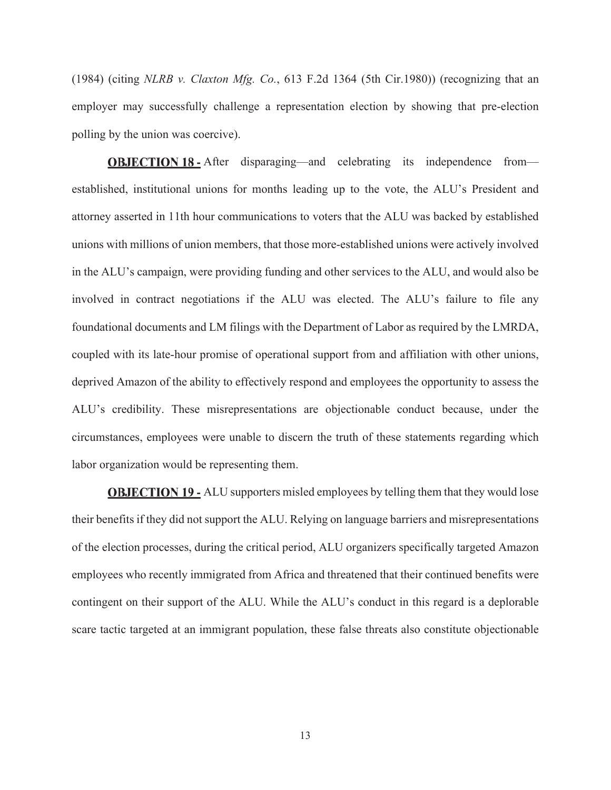(1984) (citing *NLRB v. Claxton Mfg. Co.*, 613 F.2d 1364 (5th Cir.1980)) (recognizing that an employer may successfully challenge a representation election by showing that pre-election polling by the union was coercive).

**OBJECTION 18 -** After disparaging—and celebrating its independence from established, institutional unions for months leading up to the vote, the ALU's President and attorney asserted in 11th hour communications to voters that the ALU was backed by established unions with millions of union members, that those more-established unions were actively involved in the ALU's campaign, were providing funding and other services to the ALU, and would also be involved in contract negotiations if the ALU was elected. The ALU's failure to file any foundational documents and LM filings with the Department of Labor as required by the LMRDA, coupled with its late-hour promise of operational support from and affiliation with other unions, deprived Amazon of the ability to effectively respond and employees the opportunity to assess the ALU's credibility. These misrepresentations are objectionable conduct because, under the circumstances, employees were unable to discern the truth of these statements regarding which labor organization would be representing them.

**OBJECTION 19 - ALU** supporters misled employees by telling them that they would lose their benefits if they did not support the ALU. Relying on language barriers and misrepresentations of the election processes, during the critical period, ALU organizers specifically targeted Amazon employees who recently immigrated from Africa and threatened that their continued benefits were contingent on their support of the ALU. While the ALU's conduct in this regard is a deplorable scare tactic targeted at an immigrant population, these false threats also constitute objectionable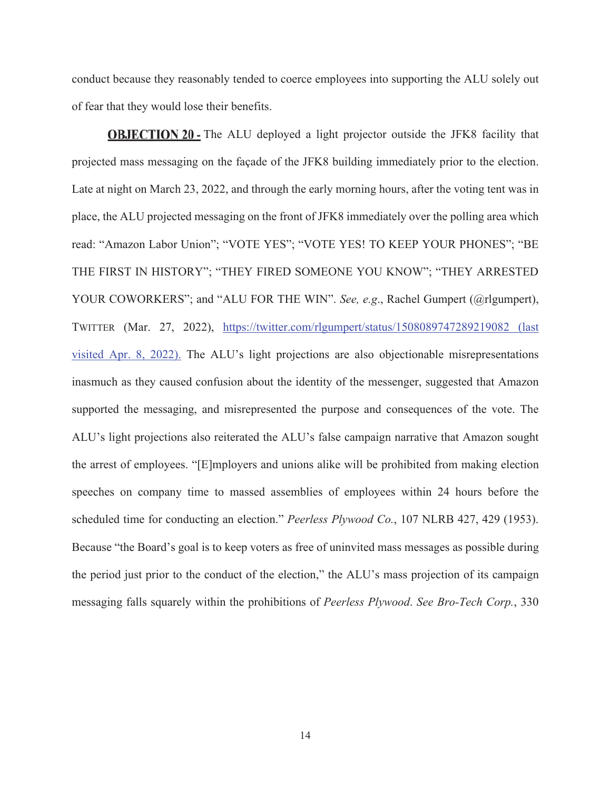conduct because they reasonably tended to coerce employees into supporting the ALU solely out of fear that they would lose their benefits.

**OBJECTION 20** - The ALU deployed a light projector outside the JFK8 facility that projected mass messaging on the façade of the JFK8 building immediately prior to the election. Late at night on March 23, 2022, and through the early morning hours, after the voting tent was in place, the ALU projected messaging on the front of JFK8 immediately over the polling area which read: "Amazon Labor Union"; "VOTE YES"; "VOTE YES! TO KEEP YOUR PHONES"; "BE THE FIRST IN HISTORY"; "THEY FIRED SOMEONE YOU KNOW"; "THEY ARRESTED YOUR COWORKERS"; and "ALU FOR THE WIN". *See, e.g.*, Rachel Gumpert (@rlgumpert), TWITTER (Mar. 27, 2022), https://twitter.com/rlgumpert/status/1508089747289219082 (last visited Apr. 8, 2022). The ALU's light projections are also objectionable misrepresentations inasmuch as they caused confusion about the identity of the messenger, suggested that Amazon supported the messaging, and misrepresented the purpose and consequences of the vote. The ALU's light projections also reiterated the ALU's false campaign narrative that Amazon sought the arrest of employees. "[E]mployers and unions alike will be prohibited from making election speeches on company time to massed assemblies of employees within 24 hours before the scheduled time for conducting an election." *Peerless Plywood Co.*, 107 NLRB 427, 429 (1953). Because "the Board's goal is to keep voters as free of uninvited mass messages as possible during the period just prior to the conduct of the election," the ALU's mass projection of its campaign messaging falls squarely within the prohibitions of *Peerless Plywood*. *See Bro-Tech Corp.*, 330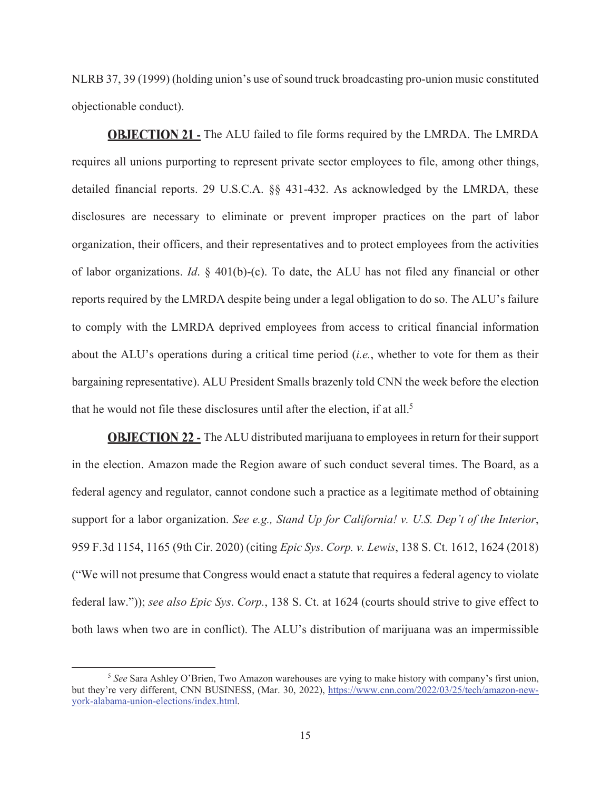NLRB 37, 39 (1999) (holding union's use of sound truck broadcasting pro-union music constituted objectionable conduct).

**OBJECTION 21 - The ALU failed to file forms required by the LMRDA. The LMRDA** requires all unions purporting to represent private sector employees to file, among other things, detailed financial reports. 29 U.S.C.A. §§ 431-432. As acknowledged by the LMRDA, these disclosures are necessary to eliminate or prevent improper practices on the part of labor organization, their officers, and their representatives and to protect employees from the activities of labor organizations. *Id*. § 401(b)-(c). To date, the ALU has not filed any financial or other reports required by the LMRDA despite being under a legal obligation to do so. The ALU's failure to comply with the LMRDA deprived employees from access to critical financial information about the ALU's operations during a critical time period (*i.e.*, whether to vote for them as their bargaining representative). ALU President Smalls brazenly told CNN the week before the election that he would not file these disclosures until after the election, if at all.<sup>5</sup>

**OBJECTION 22 - The ALU distributed marijuana to employees in return for their support** in the election. Amazon made the Region aware of such conduct several times. The Board, as a federal agency and regulator, cannot condone such a practice as a legitimate method of obtaining support for a labor organization. *See e.g., Stand Up for California! v. U.S. Dep't of the Interior*, 959 F.3d 1154, 1165 (9th Cir. 2020) (citing *Epic Sys*. *Corp. v. Lewis*, 138 S. Ct. 1612, 1624 (2018) ("We will not presume that Congress would enact a statute that requires a federal agency to violate federal law.")); *see also Epic Sys*. *Corp.*, 138 S. Ct. at 1624 (courts should strive to give effect to both laws when two are in conflict). The ALU's distribution of marijuana was an impermissible

<sup>5</sup> *See* Sara Ashley O'Brien, Two Amazon warehouses are vying to make history with company's first union, but they're very different, CNN BUSINESS, (Mar. 30, 2022), https://www.cnn.com/2022/03/25/tech/amazon-newyork-alabama-union-elections/index.html.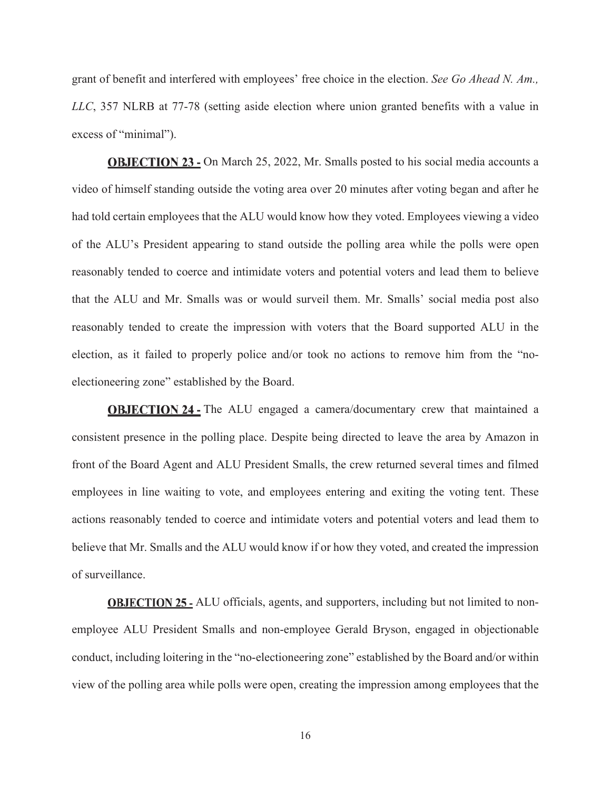grant of benefit and interfered with employees' free choice in the election. *See Go Ahead N. Am., LLC*, 357 NLRB at 77-78 (setting aside election where union granted benefits with a value in excess of "minimal").

**OBJECTION 23 - On March 25, 2022, Mr. Smalls posted to his social media accounts a** video of himself standing outside the voting area over 20 minutes after voting began and after he had told certain employees that the ALU would know how they voted. Employees viewing a video of the ALU's President appearing to stand outside the polling area while the polls were open reasonably tended to coerce and intimidate voters and potential voters and lead them to believe that the ALU and Mr. Smalls was or would surveil them. Mr. Smalls' social media post also reasonably tended to create the impression with voters that the Board supported ALU in the election, as it failed to properly police and/or took no actions to remove him from the "noelectioneering zone" established by the Board.

**OBJECTION 24 -** The ALU engaged a camera/documentary crew that maintained a consistent presence in the polling place. Despite being directed to leave the area by Amazon in front of the Board Agent and ALU President Smalls, the crew returned several times and filmed employees in line waiting to vote, and employees entering and exiting the voting tent. These actions reasonably tended to coerce and intimidate voters and potential voters and lead them to believe that Mr. Smalls and the ALU would know if or how they voted, and created the impression of surveillance.

**OBJECTION 25** - ALU officials, agents, and supporters, including but not limited to nonemployee ALU President Smalls and non-employee Gerald Bryson, engaged in objectionable conduct, including loitering in the "no-electioneering zone" established by the Board and/or within view of the polling area while polls were open, creating the impression among employees that the